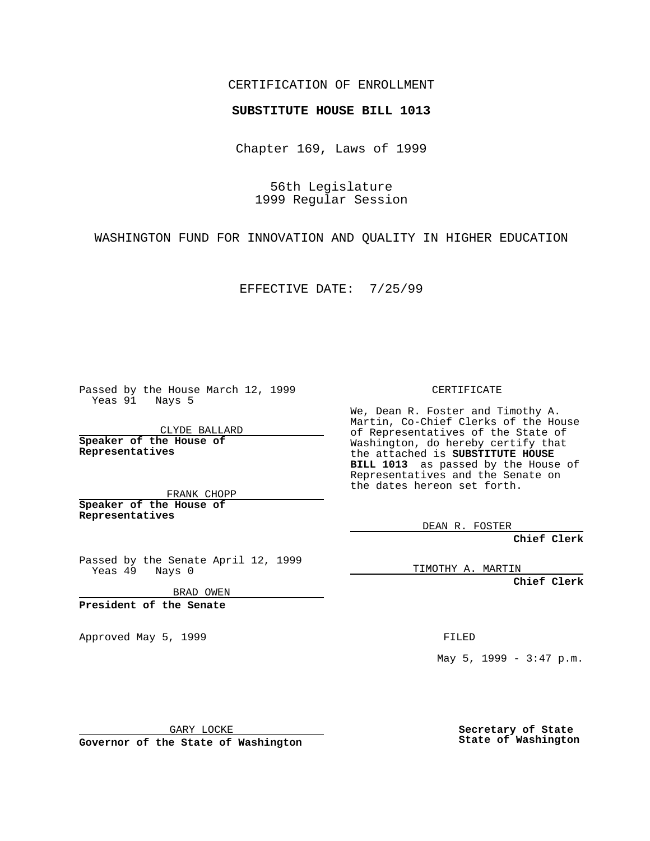CERTIFICATION OF ENROLLMENT

## **SUBSTITUTE HOUSE BILL 1013**

Chapter 169, Laws of 1999

56th Legislature 1999 Regular Session

WASHINGTON FUND FOR INNOVATION AND QUALITY IN HIGHER EDUCATION

EFFECTIVE DATE: 7/25/99

Passed by the House March 12, 1999 Yeas 91 Nays 5

CLYDE BALLARD **Speaker of the House of Representatives**

FRANK CHOPP **Speaker of the House of Representatives**

Passed by the Senate April 12, 1999 Yeas 49 Nays 0

BRAD OWEN

**President of the Senate**

Approved May 5, 1999 **FILED** 

CERTIFICATE

We, Dean R. Foster and Timothy A. Martin, Co-Chief Clerks of the House of Representatives of the State of Washington, do hereby certify that the attached is **SUBSTITUTE HOUSE BILL 1013** as passed by the House of Representatives and the Senate on the dates hereon set forth.

DEAN R. FOSTER

**Chief Clerk**

TIMOTHY A. MARTIN

**Chief Clerk**

May 5, 1999 - 3:47 p.m.

GARY LOCKE

**Governor of the State of Washington**

**Secretary of State State of Washington**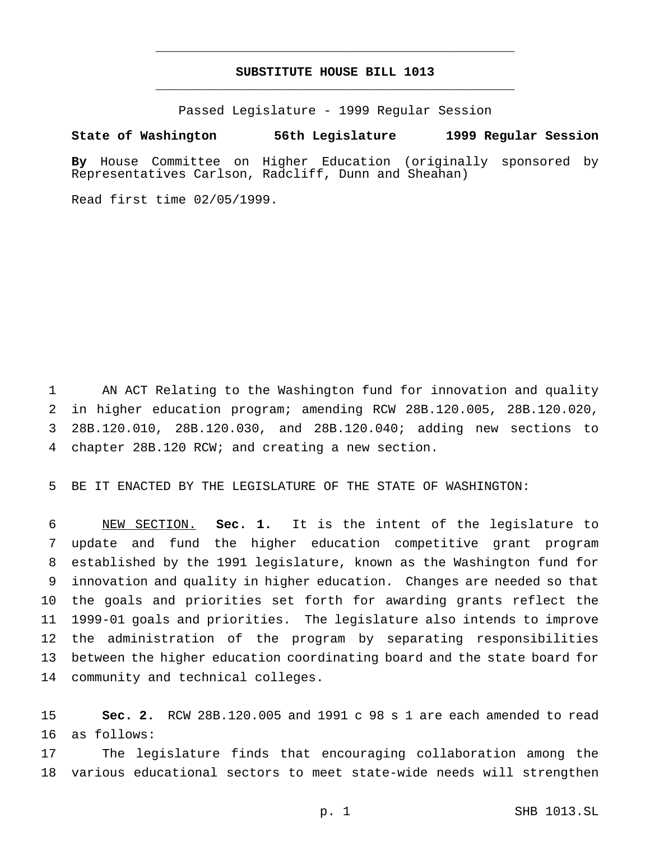## **SUBSTITUTE HOUSE BILL 1013** \_\_\_\_\_\_\_\_\_\_\_\_\_\_\_\_\_\_\_\_\_\_\_\_\_\_\_\_\_\_\_\_\_\_\_\_\_\_\_\_\_\_\_\_\_\_\_

\_\_\_\_\_\_\_\_\_\_\_\_\_\_\_\_\_\_\_\_\_\_\_\_\_\_\_\_\_\_\_\_\_\_\_\_\_\_\_\_\_\_\_\_\_\_\_

Passed Legislature - 1999 Regular Session

## **State of Washington 56th Legislature 1999 Regular Session**

**By** House Committee on Higher Education (originally sponsored by Representatives Carlson, Radcliff, Dunn and Sheahan)

Read first time 02/05/1999.

 AN ACT Relating to the Washington fund for innovation and quality in higher education program; amending RCW 28B.120.005, 28B.120.020, 28B.120.010, 28B.120.030, and 28B.120.040; adding new sections to chapter 28B.120 RCW; and creating a new section.

BE IT ENACTED BY THE LEGISLATURE OF THE STATE OF WASHINGTON:

 NEW SECTION. **Sec. 1.** It is the intent of the legislature to update and fund the higher education competitive grant program established by the 1991 legislature, known as the Washington fund for innovation and quality in higher education. Changes are needed so that the goals and priorities set forth for awarding grants reflect the 1999-01 goals and priorities. The legislature also intends to improve the administration of the program by separating responsibilities between the higher education coordinating board and the state board for community and technical colleges.

 **Sec. 2.** RCW 28B.120.005 and 1991 c 98 s 1 are each amended to read as follows:

 The legislature finds that encouraging collaboration among the various educational sectors to meet state-wide needs will strengthen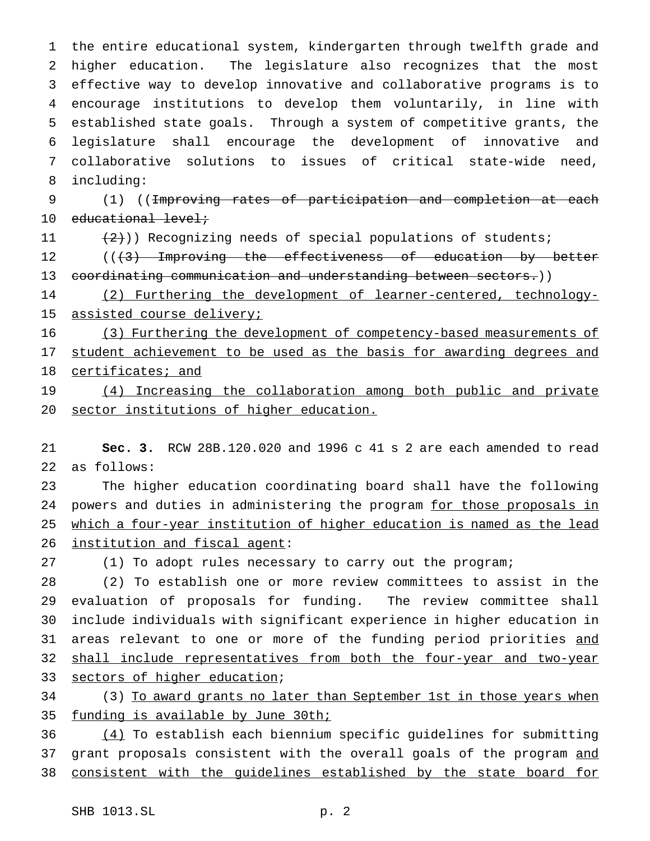the entire educational system, kindergarten through twelfth grade and higher education. The legislature also recognizes that the most effective way to develop innovative and collaborative programs is to encourage institutions to develop them voluntarily, in line with established state goals. Through a system of competitive grants, the legislature shall encourage the development of innovative and collaborative solutions to issues of critical state-wide need, including:

 (1) ((Improving rates of participation and completion at each educational level;

 $(2)$ ) Recognizing needs of special populations of students;

12 ((+3) Improving the effectiveness of education by better 13 coordinating communication and understanding between sectors.))

 (2) Furthering the development of learner-centered, technology-15 assisted course delivery;

 (3) Furthering the development of competency-based measurements of 17 student achievement to be used as the basis for awarding degrees and certificates; and

19 (4) Increasing the collaboration among both public and private sector institutions of higher education.

 **Sec. 3.** RCW 28B.120.020 and 1996 c 41 s 2 are each amended to read as follows:

 The higher education coordinating board shall have the following 24 powers and duties in administering the program for those proposals in which a four-year institution of higher education is named as the lead institution and fiscal agent:

(1) To adopt rules necessary to carry out the program;

 (2) To establish one or more review committees to assist in the evaluation of proposals for funding. The review committee shall include individuals with significant experience in higher education in 31 areas relevant to one or more of the funding period priorities and 32 shall include representatives from both the four-year and two-year 33 sectors of higher education;

 (3) To award grants no later than September 1st in those years when 35 funding is available by June 30th;

 (4) To establish each biennium specific guidelines for submitting 37 grant proposals consistent with the overall goals of the program and consistent with the guidelines established by the state board for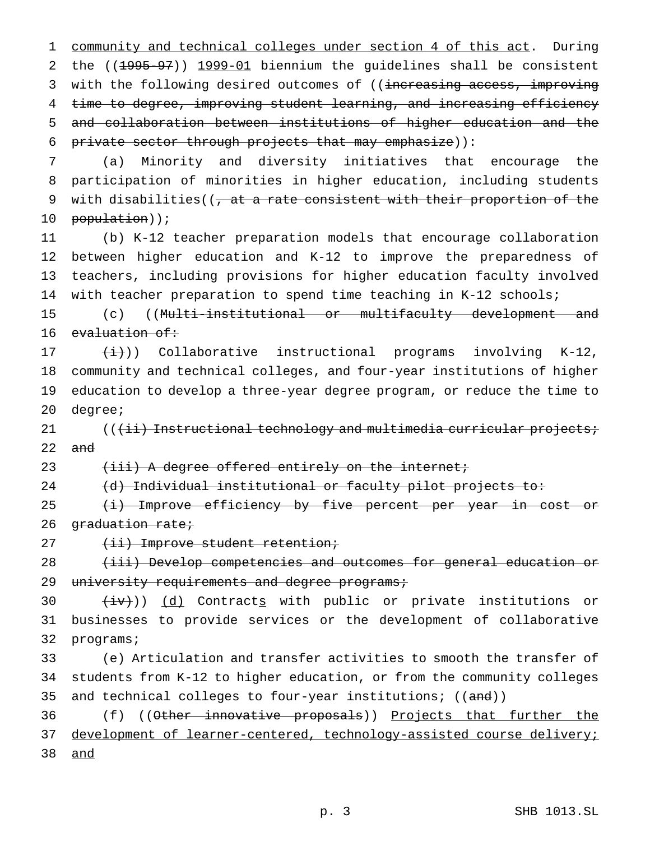community and technical colleges under section 4 of this act. During the ((1995-97)) 1999-01 biennium the guidelines shall be consistent 3 with the following desired outcomes of ((increasing access, improving time to degree, improving student learning, and increasing efficiency and collaboration between institutions of higher education and the private sector through projects that may emphasize)):

7 (a) Minority and diversity initiatives that encourage the 8 participation of minorities in higher education, including students 9 with disabilities( $\left( \frac{1}{2} + \frac{1}{2} + \frac{1}{2} + \frac{1}{2} + \frac{1}{2} + \frac{1}{2} + \frac{1}{2} + \frac{1}{2} + \frac{1}{2} + \frac{1}{2} + \frac{1}{2} + \frac{1}{2} + \frac{1}{2} + \frac{1}{2} + \frac{1}{2} + \frac{1}{2} + \frac{1}{2} + \frac{1}{2} + \frac{1}{2} + \frac{1}{2} + \frac{1}{2} + \frac{1}{2} + \frac{1}{2} + \frac{1}{2} + \frac{1}{$ 10 population));

 (b) K-12 teacher preparation models that encourage collaboration between higher education and K-12 to improve the preparedness of teachers, including provisions for higher education faculty involved with teacher preparation to spend time teaching in K-12 schools;

15 (c) ((Multi-institutional or multifaculty development and 16 evaluation of:

 $(\pm)$ ) Collaborative instructional programs involving K-12, community and technical colleges, and four-year institutions of higher education to develop a three-year degree program, or reduce the time to 20 degree;

21 ((<del>(ii) Instructional technology and multimedia curricular projects;</del>  $22$  and

23 (iii) A degree offered entirely on the internet;

24 (d) Individual institutional or faculty pilot projects to:

25 (i) Improve efficiency by five percent per year in cost or 26 graduation rate;

27 (ii) Improve student retention;

28 (iii) Develop competencies and outcomes for general education or 29 university requirements and degree programs;

30  $(iv)$ ) (d) Contracts with public or private institutions or 31 businesses to provide services or the development of collaborative 32 programs;

33 (e) Articulation and transfer activities to smooth the transfer of 34 students from K-12 to higher education, or from the community colleges 35 and technical colleges to four-year institutions; ((and))

36 (f) ((Other innovative proposals)) <u>Projects that further the</u> 37 development of learner-centered, technology-assisted course delivery; 38 and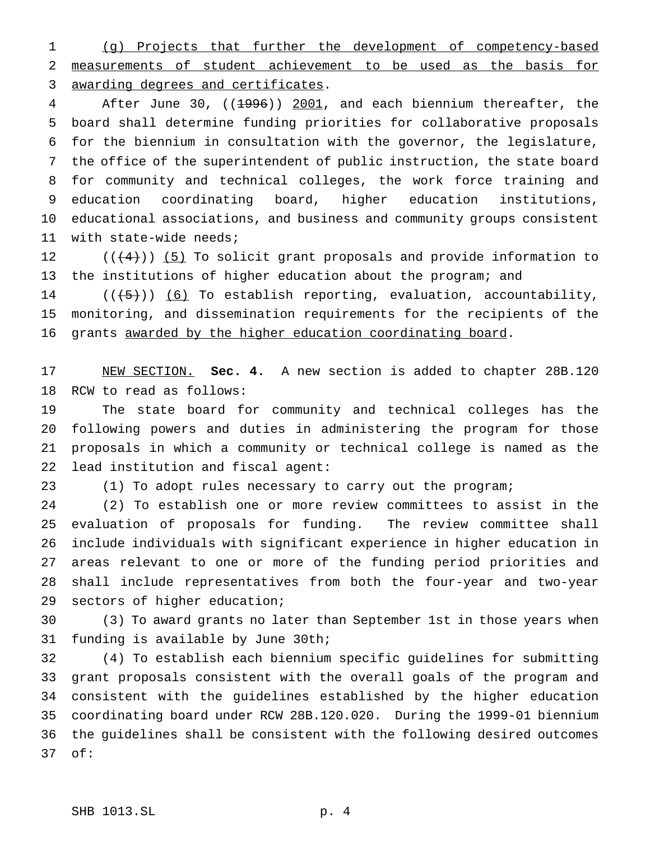(g) Projects that further the development of competency-based measurements of student achievement to be used as the basis for awarding degrees and certificates.

4 After June 30, ((1996)) 2001, and each biennium thereafter, the board shall determine funding priorities for collaborative proposals for the biennium in consultation with the governor, the legislature, the office of the superintendent of public instruction, the state board for community and technical colleges, the work force training and education coordinating board, higher education institutions, educational associations, and business and community groups consistent with state-wide needs;

12  $((+4))$  (5) To solicit grant proposals and provide information to the institutions of higher education about the program; and

14  $((+5))$   $(6)$  To establish reporting, evaluation, accountability, monitoring, and dissemination requirements for the recipients of the grants awarded by the higher education coordinating board.

 NEW SECTION. **Sec. 4.** A new section is added to chapter 28B.120 RCW to read as follows:

 The state board for community and technical colleges has the following powers and duties in administering the program for those proposals in which a community or technical college is named as the lead institution and fiscal agent:

(1) To adopt rules necessary to carry out the program;

 (2) To establish one or more review committees to assist in the evaluation of proposals for funding. The review committee shall include individuals with significant experience in higher education in areas relevant to one or more of the funding period priorities and shall include representatives from both the four-year and two-year sectors of higher education;

 (3) To award grants no later than September 1st in those years when funding is available by June 30th;

 (4) To establish each biennium specific guidelines for submitting grant proposals consistent with the overall goals of the program and consistent with the guidelines established by the higher education coordinating board under RCW 28B.120.020. During the 1999-01 biennium the guidelines shall be consistent with the following desired outcomes of: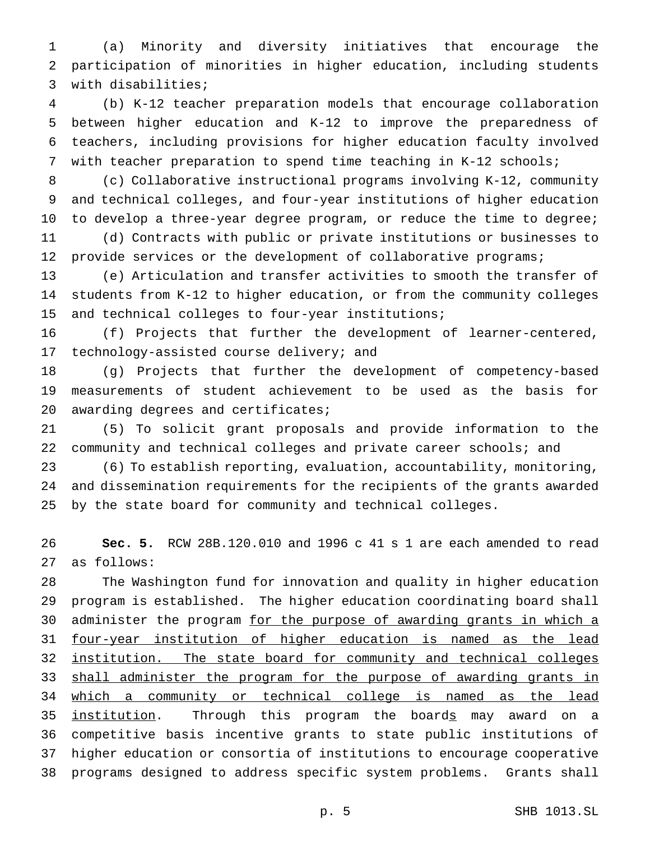(a) Minority and diversity initiatives that encourage the participation of minorities in higher education, including students with disabilities;

 (b) K-12 teacher preparation models that encourage collaboration between higher education and K-12 to improve the preparedness of teachers, including provisions for higher education faculty involved with teacher preparation to spend time teaching in K-12 schools;

 (c) Collaborative instructional programs involving K-12, community and technical colleges, and four-year institutions of higher education 10 to develop a three-year degree program, or reduce the time to degree; (d) Contracts with public or private institutions or businesses to 12 provide services or the development of collaborative programs;

 (e) Articulation and transfer activities to smooth the transfer of students from K-12 to higher education, or from the community colleges and technical colleges to four-year institutions;

 (f) Projects that further the development of learner-centered, technology-assisted course delivery; and

 (g) Projects that further the development of competency-based measurements of student achievement to be used as the basis for awarding degrees and certificates;

 (5) To solicit grant proposals and provide information to the community and technical colleges and private career schools; and

 (6) To establish reporting, evaluation, accountability, monitoring, and dissemination requirements for the recipients of the grants awarded by the state board for community and technical colleges.

 **Sec. 5.** RCW 28B.120.010 and 1996 c 41 s 1 are each amended to read as follows:

 The Washington fund for innovation and quality in higher education program is established. The higher education coordinating board shall 30 administer the program for the purpose of awarding grants in which a four-year institution of higher education is named as the lead institution. The state board for community and technical colleges 33 shall administer the program for the purpose of awarding grants in which a community or technical college is named as the lead 35 institution. Through this program the boards may award on a competitive basis incentive grants to state public institutions of higher education or consortia of institutions to encourage cooperative programs designed to address specific system problems. Grants shall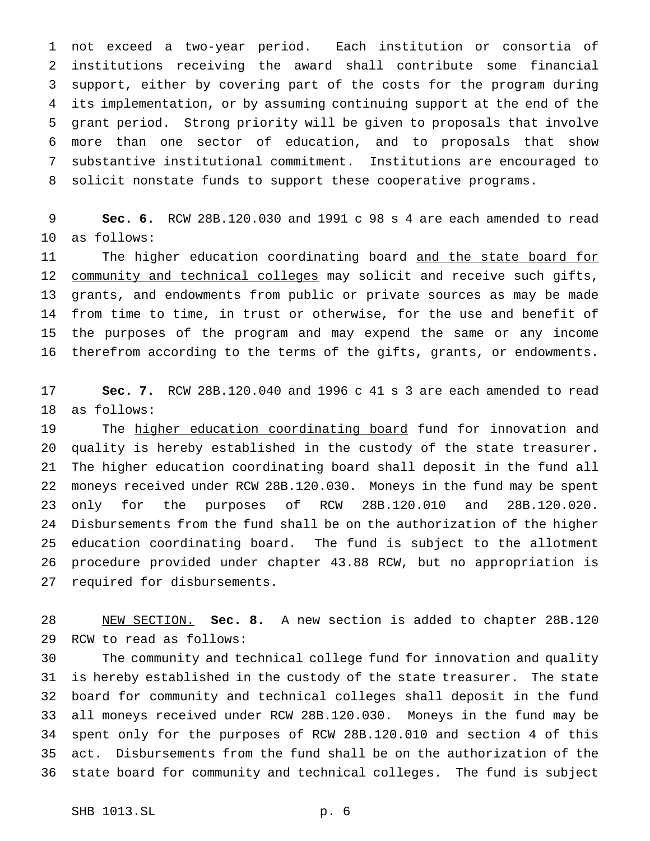not exceed a two-year period. Each institution or consortia of institutions receiving the award shall contribute some financial support, either by covering part of the costs for the program during its implementation, or by assuming continuing support at the end of the grant period. Strong priority will be given to proposals that involve more than one sector of education, and to proposals that show substantive institutional commitment. Institutions are encouraged to solicit nonstate funds to support these cooperative programs.

 **Sec. 6.** RCW 28B.120.030 and 1991 c 98 s 4 are each amended to read as follows:

11 The higher education coordinating board and the state board for community and technical colleges may solicit and receive such gifts, grants, and endowments from public or private sources as may be made from time to time, in trust or otherwise, for the use and benefit of the purposes of the program and may expend the same or any income therefrom according to the terms of the gifts, grants, or endowments.

 **Sec. 7.** RCW 28B.120.040 and 1996 c 41 s 3 are each amended to read as follows:

19 The higher education coordinating board fund for innovation and quality is hereby established in the custody of the state treasurer. The higher education coordinating board shall deposit in the fund all moneys received under RCW 28B.120.030. Moneys in the fund may be spent only for the purposes of RCW 28B.120.010 and 28B.120.020. Disbursements from the fund shall be on the authorization of the higher education coordinating board. The fund is subject to the allotment procedure provided under chapter 43.88 RCW, but no appropriation is required for disbursements.

 NEW SECTION. **Sec. 8.** A new section is added to chapter 28B.120 RCW to read as follows:

 The community and technical college fund for innovation and quality is hereby established in the custody of the state treasurer. The state board for community and technical colleges shall deposit in the fund all moneys received under RCW 28B.120.030. Moneys in the fund may be spent only for the purposes of RCW 28B.120.010 and section 4 of this act. Disbursements from the fund shall be on the authorization of the state board for community and technical colleges. The fund is subject